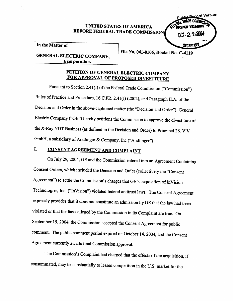## UNITED STATES OF AMRICA BEFORE FEDERAL TRADE COMMISSION



In the Matter of

### GENERAL ELECTRIC COMPANY, a corporation.

File No. 041-0106, Docket No. C-4119

# PETITION OF GENERAL ELECTRIC COMPANY FOR APPROVAL OF PROPOSED DIVESTITURE

Pursuant to Section 2.41(f) of the Federal Trade Commission ("Commission") Rules of Practice and Procedure, 16 C.FR. 2.41(f) (2002), and Paragraph IT.A. of the Decision and Order in the above-captioned matter (the "Decision and Order"), General Electric Company ("GE") hereby petitions the Commission to approve the divestiture of the X-Ray NDT Business (as defined in the Decision and Order) to Prinzipal 26. V V GmbH, a subsidiary of Andlinger & Company, Inc ("Andlinger").

#### I. CONSENT AGREEMENT AND COMPLAINT

On July 29, 2004, GE and the Commission entered into an Agreement Containg Consent Orders, which included the Decision and Order (collectively the "Consent Agreement") to settle the Commission's charges that GE's acquisition of InVision Technologies, Inc. ("InVision") violated federal antitrust laws. The Consent Agreement expressly provides that it does not constitute an admission by GE that the law had been violated or that the facts alleged by the Commission in its Complaint are true. On September 15, 2004, the Commission accepted the Consent Agreement for public comment. The public comment period expired on October 14, 2004, and the Consent Agreement currently awaits final Commission approval.

The Commission's Complaint had charged that the effects of the acquisition, if consumated, may be substantially to lessen competition in the U.S. market for the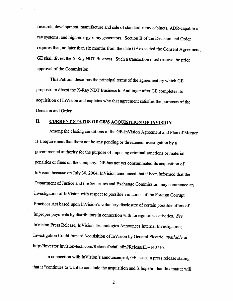research, development, manufactue and sale of standard x-ray cabinets, ADR-capable xray systems, and high-energy x-ray generators. Section II of the Decision and Order requires that, no later than six months from the date GE executed the Consent Agreement, GE shall divest the X-Ray NDT Business. Such a transaction must receive the prior approval of the Commission.

This Petition describes the principal terms of the agreement by which GE proposes to divest the X-Ray NDT Business to Andlinger after GE completes its acquisition of InVision and explains why that agreement satisfies the purposes of the Decision and Order.

# II. CURRENT STATUS OF GE'S ACQUISITION OF INVISION

Among the closing conditions of the GE-InVision Agreement and Plan of Merger is a requirement that there not be any pending or theatened investigation by a governental authority for the purose of imposing criminal sanctions or material penalties or fines on the company. GE has not yet consummated its acquisition of InVision because on July 30 2004, InVision anounced that it been informed that the Deparment of Justice and the Securties and Exchange Commission may commence an investigation of InVision with respect to possible violations of the Foreign Corrupt Practices Act based upon InVision's voluntary disclosure of certain possible offers of improper payments by distributors in connection with foreign sales activities. See In Vision Press Release, In Vision Technologies Anounces Internal Investigation; Investigation Could Impact Acquisition of InVision by General Electric, available at http://investor.invision-tech.com/ReleaseDetail.cfm?ReleaseID=140716.

In connection with InVision's announcement, GE issued a press release stating that it "continues to want to conclude the acquisition and is hopeful that this matter wil

 $\overline{2}$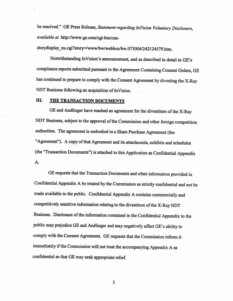be resolved." GE Press Release, Statement regarding InVision Voluntary Disclosure, available at http://www.ge.com/cgi-bin/cnn-

storydisplay\_nu.cgi?story=/www/bw/webbox/bw.073004/242124579.htm.

Notwithstanding InVision's announcement, and as described in detail in GE's compliance reports submitted pursuant to the Agreement Containing Consent Orders, GE has continued to prepare to comply with the Consent Agreement by divesting the X-Ray NDT Business following an acquisition of InVision.

## III. THE TRANSACTION DOCUMENTS

GE and Andlinger have reached an agreement for the divestiture of the X-Ray NDT Business, subject to the approval of the Commission and other foreign competition authorities. The agreement is embodied in a Share Purchase Agreement (the "Agreement"). A copy of that Agreement and its attachments, exhibits and schedules (the "Transaction Documents") is attached to this Application as Confidential Appendix A.

GE requests that the Transaction Documents and other information provided in Confidential Appendix A be treated by the Commission as strictly confidential and not be made available to the public. Confidential Appendix A contains commercially and competitively sensitive information relating to the divestitue of the X-Ray NDT Business. Disclosure of the information contained in the Confidential Appendix to the public may prejudice GE and Andlinger and may negatively affect GE's ability to comply with the Consent Agreement. GE requests that the Commission inform it immediately if the Commission will not treat the accompanying Appendix A as confidential so that GE may seek appropriate relief.

3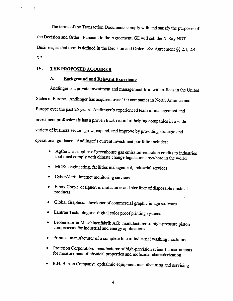The terms of the Transaction Documents comply with and satisfy the purposes of the Decision and Order. Pursuant to the Agreement, GE will sell the X-Ray NDT Business, as that term is defined in the Decision and Order. See Agreement  $\S$ § 2.1, 2.4,  $3.2.$ 

## IV. THE PROPOSED ACOUIRER

#### A. **Background and Relevant Experience**

Andlinger is a private investment and management firm with offices in the United States in Europe. Andlinger has acquired over 100 companes in North America and Europe over the past 25 years. Andlinger's experienced team of management and investment professionals has a proven track record of helping companies in a wide variety of business sectors grow, expand, and improve by providing strategic and operational guidance. Andlinger's current investment portfolio includes:

- AgCert: a supplier of greenhouse gas emission-reduction credits to industries that must comply with climate change legislation anywhere in the world
- MCE: engineering, facilities management, industrial services  $\bullet$
- CyberAlert: internet monitoring services
- Ethox Corp.: designer, manufacturer and sterilizer of disposable medical products
- Global Graphics: developer of commercial graphic image software  $\bullet$
- Lantran Technologies: digital color proof printing systems
- Leobersdorfer Maschinenfabrik AG: manufacturer of high-pressure piston compressors for industrial and energy applications
- Primus: manufacturer of a complete line of industrial washing machines
- Proterion Corporation: manufacturer of high-precision scientific instruments for measurement of physical properties and molecular characterization
- R.H. Burton Company: opthalmic equipment manufacturing and servicing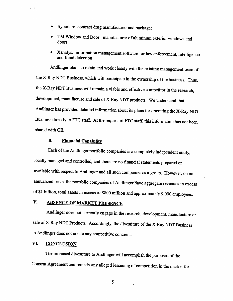- Synerlab: contract drug manufacturer and packager
- TM Window and Door: manufacturer of aluminum exterior windows and doors
- Xanalys: information management software for law enforcement, intelligence and fraud detection

Andlinger plans to retain and work closely with the existing management team of the X-Ray NDT Business, which will participate in the ownership of the business. Thus, the X-Ray NDT Business will remain a viable and effective competitor in the research, development, manufacture and sale of X-Ray NDT products. We understand that Andlinger has provided detailed information about its plans for operating the X-Ray NDT Business directly to FTC staff. At the request of FTC staff, this information has not been shared with GE.

#### **B.** Financial Capabilty

Each of the Andlinger portfolio companies is a completely independent entity, locally managed and controlled, and there are no financial statements prepared or available with respect to Andlinger and all such companies as a group. However , on an anualized basis, the portfolio companies of Andlinger have aggregate revenues in excess of \$1 billion, total assets in excess of \$800 million and approximately 9,000 employees.

#### V. ABSENCE OF MARKET PRESENCE

Andlinger does not curently engage in the research, development, manufacture or sale of X-Ray NDT Products. Accordingly, the divestiture of the X-Ray NDT Business to Andlinger does not create any competitive concerns.

#### VI. CONCLUSION

The proposed divestitue to Andlinger will accomplish the puroses of the Consent Agreement and remedy any alleged lessening of competition in the market for

5